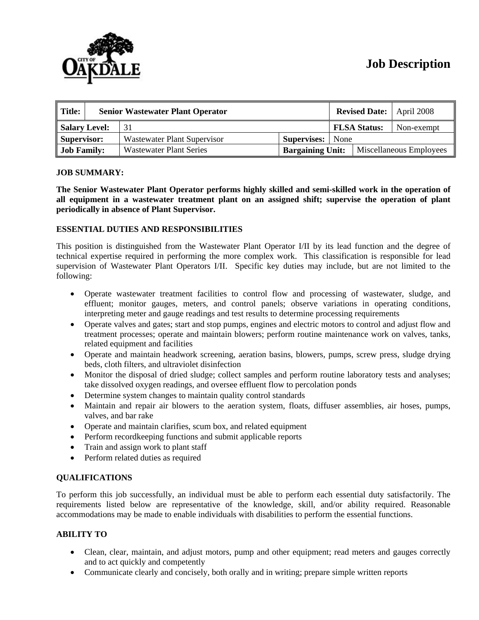# **Job Description**

| $\parallel$ Title:<br><b>Senior Wastewater Plant Operator</b> |  |                                |                         |  |                     | <b>Revised Date:</b>   April 2008 |  |
|---------------------------------------------------------------|--|--------------------------------|-------------------------|--|---------------------|-----------------------------------|--|
| Salary Level:                                                 |  | 31                             |                         |  | <b>FLSA Status:</b> | Non-exempt                        |  |
| Supervisor:                                                   |  | Wastewater Plant Supervisor    | <b>Supervises:</b> None |  |                     |                                   |  |
| <b>Job Family:</b>                                            |  | <b>Wastewater Plant Series</b> | <b>Bargaining Unit:</b> |  |                     | Miscellaneous Employees           |  |

#### **JOB SUMMARY:**

**The Senior Wastewater Plant Operator performs highly skilled and semi-skilled work in the operation of all equipment in a wastewater treatment plant on an assigned shift; supervise the operation of plant periodically in absence of Plant Supervisor.** 

# **ESSENTIAL DUTIES AND RESPONSIBILITIES**

This position is distinguished from the Wastewater Plant Operator I/II by its lead function and the degree of technical expertise required in performing the more complex work. This classification is responsible for lead supervision of Wastewater Plant Operators I/II. Specific key duties may include, but are not limited to the following:

- Operate wastewater treatment facilities to control flow and processing of wastewater, sludge, and effluent; monitor gauges, meters, and control panels; observe variations in operating conditions, interpreting meter and gauge readings and test results to determine processing requirements
- Operate valves and gates; start and stop pumps, engines and electric motors to control and adjust flow and treatment processes; operate and maintain blowers; perform routine maintenance work on valves, tanks, related equipment and facilities
- Operate and maintain headwork screening, aeration basins, blowers, pumps, screw press, sludge drying beds, cloth filters, and ultraviolet disinfection
- Monitor the disposal of dried sludge; collect samples and perform routine laboratory tests and analyses; take dissolved oxygen readings, and oversee effluent flow to percolation ponds
- Determine system changes to maintain quality control standards
- Maintain and repair air blowers to the aeration system, floats, diffuser assemblies, air hoses, pumps, valves, and bar rake
- Operate and maintain clarifies, scum box, and related equipment
- Perform recordkeeping functions and submit applicable reports
- Train and assign work to plant staff
- Perform related duties as required

# **QUALIFICATIONS**

To perform this job successfully, an individual must be able to perform each essential duty satisfactorily. The requirements listed below are representative of the knowledge, skill, and/or ability required. Reasonable accommodations may be made to enable individuals with disabilities to perform the essential functions.

# **ABILITY TO**

- Clean, clear, maintain, and adjust motors, pump and other equipment; read meters and gauges correctly and to act quickly and competently
- Communicate clearly and concisely, both orally and in writing; prepare simple written reports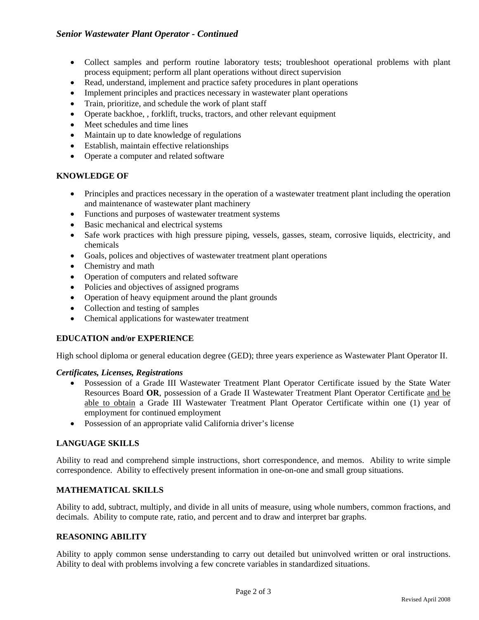- Collect samples and perform routine laboratory tests; troubleshoot operational problems with plant process equipment; perform all plant operations without direct supervision
- Read, understand, implement and practice safety procedures in plant operations
- Implement principles and practices necessary in wastewater plant operations
- Train, prioritize, and schedule the work of plant staff
- Operate backhoe, , forklift, trucks, tractors, and other relevant equipment
- Meet schedules and time lines
- Maintain up to date knowledge of regulations
- Establish, maintain effective relationships
- Operate a computer and related software

### **KNOWLEDGE OF**

- Principles and practices necessary in the operation of a wastewater treatment plant including the operation and maintenance of wastewater plant machinery
- Functions and purposes of wastewater treatment systems
- Basic mechanical and electrical systems
- Safe work practices with high pressure piping, vessels, gasses, steam, corrosive liquids, electricity, and chemicals
- Goals, polices and objectives of wastewater treatment plant operations
- Chemistry and math
- Operation of computers and related software
- Policies and objectives of assigned programs
- Operation of heavy equipment around the plant grounds
- Collection and testing of samples
- Chemical applications for wastewater treatment

#### **EDUCATION and/or EXPERIENCE**

High school diploma or general education degree (GED); three years experience as Wastewater Plant Operator II.

#### *Certificates, Licenses, Registrations*

- Possession of a Grade III Wastewater Treatment Plant Operator Certificate issued by the State Water Resources Board **OR**, possession of a Grade II Wastewater Treatment Plant Operator Certificate and be able to obtain a Grade III Wastewater Treatment Plant Operator Certificate within one (1) year of employment for continued employment
- Possession of an appropriate valid California driver's license

#### **LANGUAGE SKILLS**

Ability to read and comprehend simple instructions, short correspondence, and memos. Ability to write simple correspondence. Ability to effectively present information in one-on-one and small group situations.

#### **MATHEMATICAL SKILLS**

Ability to add, subtract, multiply, and divide in all units of measure, using whole numbers, common fractions, and decimals. Ability to compute rate, ratio, and percent and to draw and interpret bar graphs.

### **REASONING ABILITY**

Ability to apply common sense understanding to carry out detailed but uninvolved written or oral instructions. Ability to deal with problems involving a few concrete variables in standardized situations.